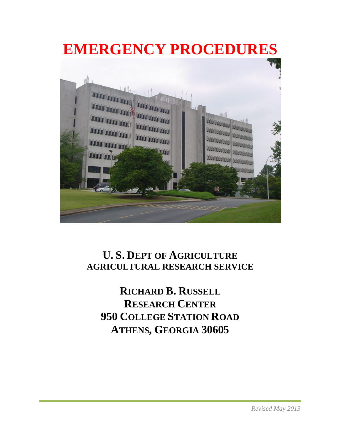

# **U. S. DEPT OF AGRICULTURE AGRICULTURAL RESEARCH SERVICE**

**RICHARD B. RUSSELL RESEARCH CENTER 950 COLLEGE STATION ROAD ATHENS, GEORGIA 30605**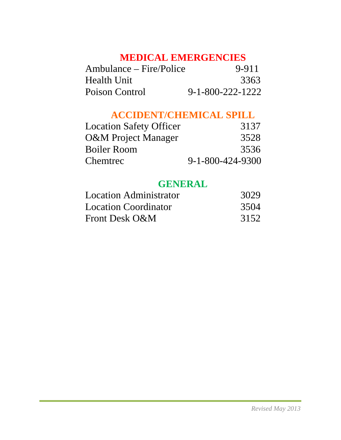# **MEDICAL EMERGENCIES**

| Ambulance – Fire/Police | 9-911                      |
|-------------------------|----------------------------|
| Health Unit             | 3363                       |
| Poison Control          | $9 - 1 - 800 - 222 - 1222$ |

# **ACCIDENT/CHEMICAL SPILL**

| <b>Location Safety Officer</b> | 3137                       |
|--------------------------------|----------------------------|
| <b>O&amp;M</b> Project Manager | 3528                       |
| Boiler Room                    | 3536                       |
| Chemtrec                       | $9 - 1 - 800 - 424 - 9300$ |

# **GENERAL**

| <b>Location Administrator</b> | 3029 |
|-------------------------------|------|
| Location Coordinator          | 3504 |
| Front Desk O&M                | 3152 |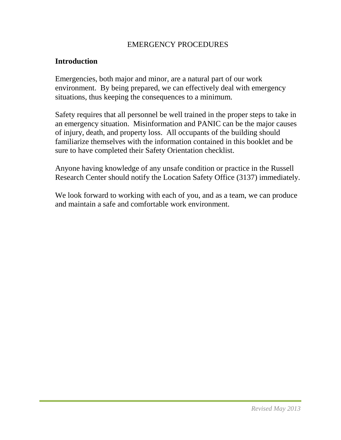#### EMERGENCY PROCEDURES

#### **Introduction**

Emergencies, both major and minor, are a natural part of our work environment. By being prepared, we can effectively deal with emergency situations, thus keeping the consequences to a minimum.

Safety requires that all personnel be well trained in the proper steps to take in an emergency situation. Misinformation and PANIC can be the major causes of injury, death, and property loss. All occupants of the building should familiarize themselves with the information contained in this booklet and be sure to have completed their Safety Orientation checklist.

Anyone having knowledge of any unsafe condition or practice in the Russell Research Center should notify the Location Safety Office (3137) immediately.

We look forward to working with each of you, and as a team, we can produce and maintain a safe and comfortable work environment.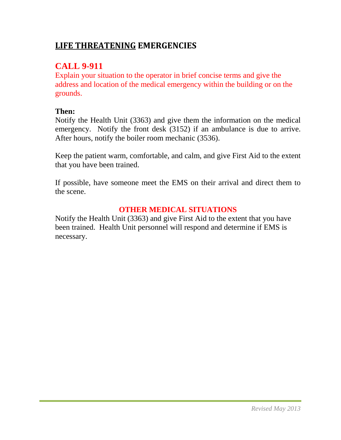## **LIFE THREATENING EMERGENCIES**

## **CALL 9-911**

Explain your situation to the operator in brief concise terms and give the address and location of the medical emergency within the building or on the grounds.

### **Then:**

Notify the Health Unit (3363) and give them the information on the medical emergency. Notify the front desk (3152) if an ambulance is due to arrive. After hours, notify the boiler room mechanic (3536).

Keep the patient warm, comfortable, and calm, and give First Aid to the extent that you have been trained.

If possible, have someone meet the EMS on their arrival and direct them to the scene.

## **OTHER MEDICAL SITUATIONS**

Notify the Health Unit (3363) and give First Aid to the extent that you have been trained. Health Unit personnel will respond and determine if EMS is necessary.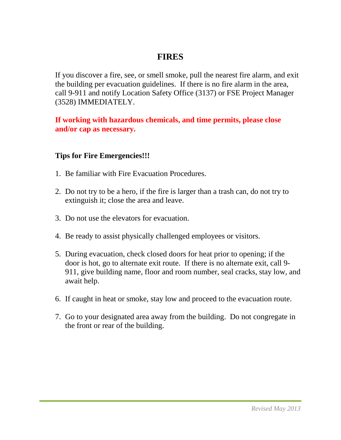## **FIRES**

If you discover a fire, see, or smell smoke, pull the nearest fire alarm, and exit the building per evacuation guidelines. If there is no fire alarm in the area, call 9-911 and notify Location Safety Office (3137) or FSE Project Manager (3528) IMMEDIATELY.

**If working with hazardous chemicals, and time permits, please close and/or cap as necessary.**

#### **Tips for Fire Emergencies!!!**

- 1. Be familiar with Fire Evacuation Procedures.
- 2. Do not try to be a hero, if the fire is larger than a trash can, do not try to extinguish it; close the area and leave.
- 3. Do not use the elevators for evacuation.
- 4. Be ready to assist physically challenged employees or visitors.
- 5. During evacuation, check closed doors for heat prior to opening; if the door is hot, go to alternate exit route. If there is no alternate exit, call 9- 911, give building name, floor and room number, seal cracks, stay low, and await help.
- 6. If caught in heat or smoke, stay low and proceed to the evacuation route.
- 7. Go to your designated area away from the building. Do not congregate in the front or rear of the building.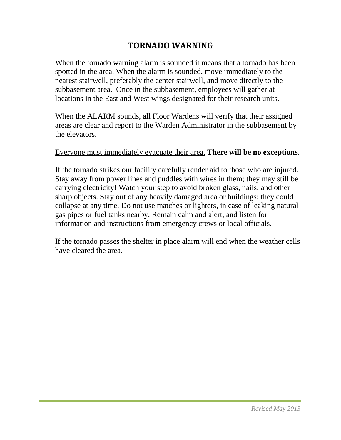## **TORNADO WARNING**

When the tornado warning alarm is sounded it means that a tornado has been spotted in the area. When the alarm is sounded, move immediately to the nearest stairwell, preferably the center stairwell, and move directly to the subbasement area. Once in the subbasement, employees will gather at locations in the East and West wings designated for their research units.

When the ALARM sounds, all Floor Wardens will verify that their assigned areas are clear and report to the Warden Administrator in the subbasement by the elevators.

#### Everyone must immediately evacuate their area. **There will be no exceptions**.

If the tornado strikes our facility carefully render aid to those who are injured. Stay away from power lines and puddles with wires in them; they may still be carrying electricity! Watch your step to avoid broken glass, nails, and other sharp objects. Stay out of any heavily damaged area or buildings; they could collapse at any time. Do not use matches or lighters, in case of leaking natural gas pipes or fuel tanks nearby. Remain calm and alert, and listen for information and instructions from emergency crews or local officials.

If the tornado passes the shelter in place alarm will end when the weather cells have cleared the area.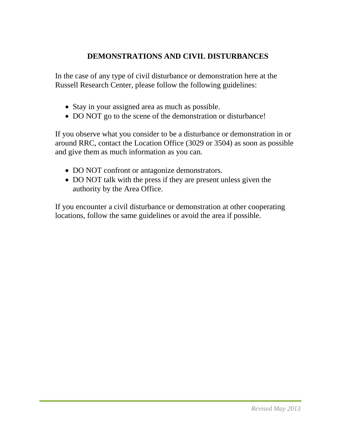## **DEMONSTRATIONS AND CIVIL DISTURBANCES**

In the case of any type of civil disturbance or demonstration here at the Russell Research Center, please follow the following guidelines:

- Stay in your assigned area as much as possible.
- DO NOT go to the scene of the demonstration or disturbance!

If you observe what you consider to be a disturbance or demonstration in or around RRC, contact the Location Office (3029 or 3504) as soon as possible and give them as much information as you can.

- DO NOT confront or antagonize demonstrators.
- DO NOT talk with the press if they are present unless given the authority by the Area Office.

If you encounter a civil disturbance or demonstration at other cooperating locations, follow the same guidelines or avoid the area if possible.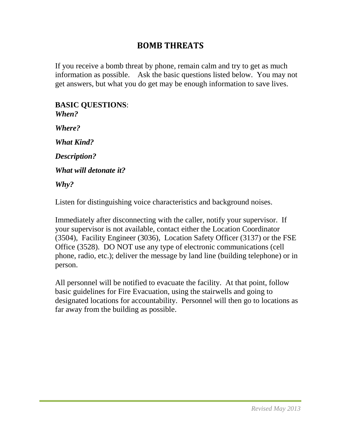## **BOMB THREATS**

If you receive a bomb threat by phone, remain calm and try to get as much information as possible. Ask the basic questions listed below. You may not get answers, but what you do get may be enough information to save lives.

#### **BASIC QUESTIONS**: *When?*

*Where?* 

*What Kind?* 

*Description?* 

*What will detonate it?* 

*Why?*

Listen for distinguishing voice characteristics and background noises.

Immediately after disconnecting with the caller, notify your supervisor. If your supervisor is not available, contact either the Location Coordinator (3504), Facility Engineer (3036), Location Safety Officer (3137) or the FSE Office (3528). DO NOT use any type of electronic communications (cell phone, radio, etc.); deliver the message by land line (building telephone) or in person.

All personnel will be notified to evacuate the facility. At that point, follow basic guidelines for Fire Evacuation, using the stairwells and going to designated locations for accountability. Personnel will then go to locations as far away from the building as possible.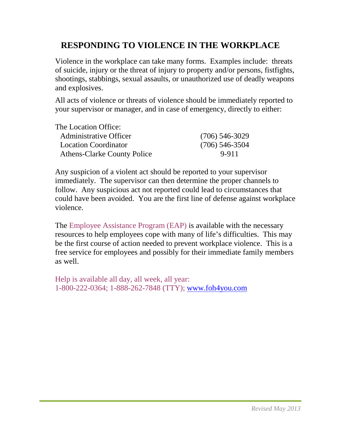## **RESPONDING TO VIOLENCE IN THE WORKPLACE**

Violence in the workplace can take many forms. Examples include: threats of suicide, injury or the threat of injury to property and/or persons, fistfights, shootings, stabbings, sexual assaults, or unauthorized use of deadly weapons and explosives.

All acts of violence or threats of violence should be immediately reported to your supervisor or manager, and in case of emergency, directly to either:

| The Location Office:               |                  |
|------------------------------------|------------------|
| <b>Administrative Officer</b>      | $(706)$ 546-3029 |
| <b>Location Coordinator</b>        | $(706)$ 546-3504 |
| <b>Athens-Clarke County Police</b> | 9-911            |

Any suspicion of a violent act should be reported to your supervisor immediately. The supervisor can then determine the proper channels to follow. Any suspicious act not reported could lead to circumstances that could have been avoided. You are the first line of defense against workplace violence.

The Employee Assistance Program (EAP) is available with the necessary resources to help employees cope with many of life's difficulties. This may be the first course of action needed to prevent workplace violence. This is a free service for employees and possibly for their immediate family members as well.

Help is available all day, all week, all year: 1-800-222-0364; 1-888-262-7848 (TTY); [www.foh4you.com](http://www.foh4you.com/)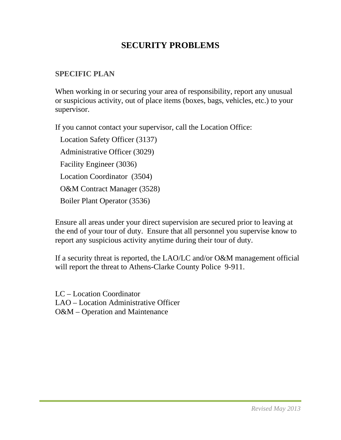## **SECURITY PROBLEMS**

### **SPECIFIC PLAN**

When working in or securing your area of responsibility, report any unusual or suspicious activity, out of place items (boxes, bags, vehicles, etc.) to your supervisor.

If you cannot contact your supervisor, call the Location Office:

Location Safety Officer (3137) Administrative Officer (3029) Facility Engineer (3036) Location Coordinator (3504) O&M Contract Manager (3528) Boiler Plant Operator (3536)

Ensure all areas under your direct supervision are secured prior to leaving at the end of your tour of duty. Ensure that all personnel you supervise know to report any suspicious activity anytime during their tour of duty.

If a security threat is reported, the LAO/LC and/or O&M management official will report the threat to Athens-Clarke County Police 9-911.

LC – Location Coordinator LAO – Location Administrative Officer O&M – Operation and Maintenance